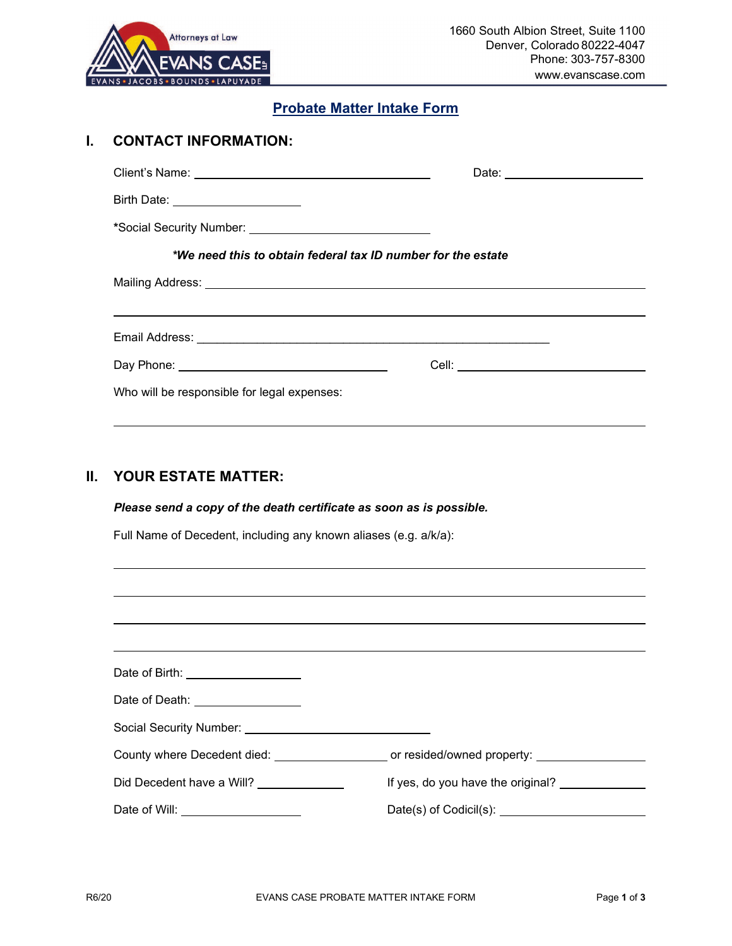

## **Probate Matter Intake Form**

| <b>CONTACT INFORMATION:</b>                 |                                                                     |
|---------------------------------------------|---------------------------------------------------------------------|
|                                             |                                                                     |
| Birth Date: _______________________         |                                                                     |
|                                             |                                                                     |
|                                             | *We need this to obtain federal tax ID number for the estate        |
|                                             |                                                                     |
|                                             |                                                                     |
|                                             |                                                                     |
|                                             |                                                                     |
| Who will be responsible for legal expenses: |                                                                     |
|                                             |                                                                     |
|                                             |                                                                     |
| <b>YOUR ESTATE MATTER:</b>                  |                                                                     |
|                                             | Please send a copy of the death certificate as soon as is possible. |
|                                             | Full Name of Decedent, including any known aliases (e.g. a/k/a):    |

| Date of Birth: <u>___________________</u>    |                                   |
|----------------------------------------------|-----------------------------------|
| Date of Death: <u>_________________</u>      |                                   |
|                                              |                                   |
|                                              |                                   |
| Did Decedent have a Will? _______________    | If yes, do you have the original? |
| Date of Will: <u>_______________________</u> |                                   |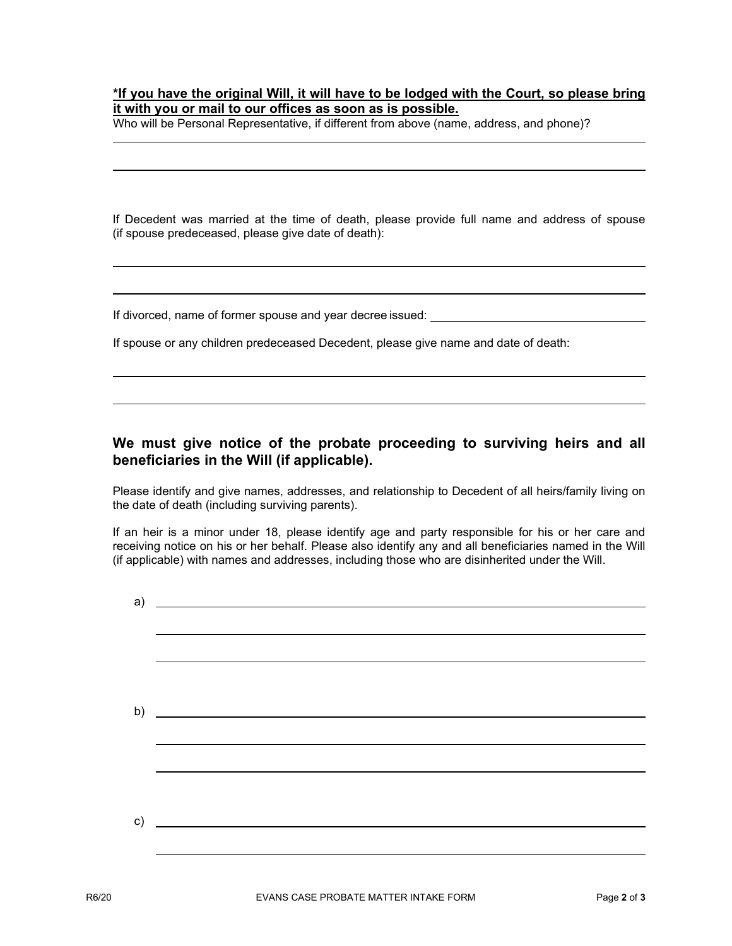## **\*If you have the original Will, it will have to be lodged with the Court, so please bring it with you or mail to our offices as soon as is possible.**

Who will be Personal Representative, if different from above (name, address, and phone)?

If Decedent was married at the time of death, please provide full name and address of spouse (if spouse predeceased, please give date of death):

If divorced, name of former spouse and year decree issued:

If spouse or any children predeceased Decedent, please give name and date of death:

## **We must give notice of the probate proceeding to surviving heirs and all beneficiaries in the Will (if applicable).**

Please identify and give names, addresses, and relationship to Decedent of all heirs/family living on the date of death (including surviving parents).

If an heir is a minor under 18, please identify age and party responsible for his or her care and receiving notice on his or her behalf. Please also identify any and all beneficiaries named in the Will (if applicable) with names and addresses, including those who are disinherited under the Will.

| a) | <u> 1980 - Johann Barn, fransk politik (d. 1980)</u> |
|----|------------------------------------------------------|
|    |                                                      |
|    |                                                      |
|    |                                                      |
|    | b) $\overline{\qquad \qquad }$                       |
|    |                                                      |
|    |                                                      |
|    |                                                      |
| c) | <u> 1989 - John Stone, Amerikaansk politiker (</u>   |
|    |                                                      |
|    |                                                      |